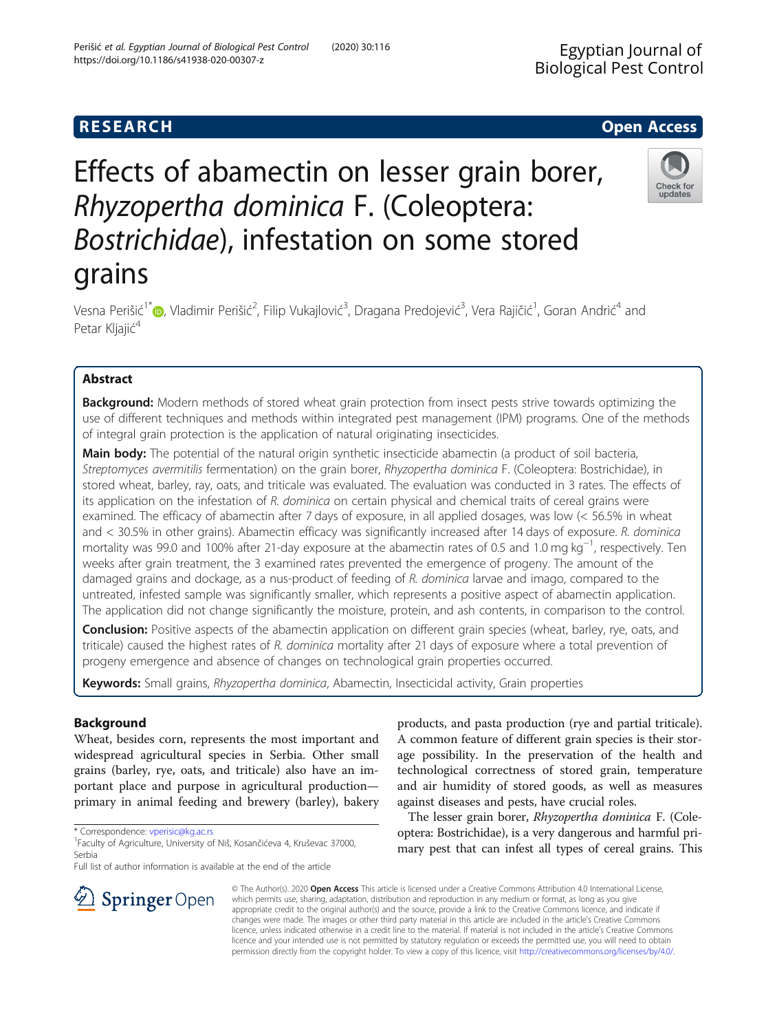## **RESEARCH CHEAR CHEAR CHEAR CHEAR CHEAR CHEAR CHEAR CHEAR CHEAR CHEAR CHEAR CHEAR CHEAR CHEAR CHEAR CHEAR CHEAR**

# Effects of abamectin on lesser grain borer, Rhyzopertha dominica F. (Coleoptera: Bostrichidae), infestation on some stored grains

Vesna Perišić<sup>1\*</sup>©[,](http://orcid.org/0000-0002-4220-826X) Vladimir Perišić<sup>2</sup>, Filip Vukajlović<sup>3</sup>, Dragana Predojević<sup>3</sup>, Vera Rajičić<sup>1</sup>, Goran Andrić<sup>4</sup> and Petar Kljajić<sup>4</sup>

## Abstract

**Background:** Modern methods of stored wheat grain protection from insect pests strive towards optimizing the use of different techniques and methods within integrated pest management (IPM) programs. One of the methods of integral grain protection is the application of natural originating insecticides.

Main body: The potential of the natural origin synthetic insecticide abamectin (a product of soil bacteria, Streptomyces avermitilis fermentation) on the grain borer, Rhyzopertha dominica F. (Coleoptera: Bostrichidae), in stored wheat, barley, ray, oats, and triticale was evaluated. The evaluation was conducted in 3 rates. The effects of its application on the infestation of R. dominica on certain physical and chemical traits of cereal grains were examined. The efficacy of abamectin after 7 days of exposure, in all applied dosages, was low (< 56.5% in wheat and < 30.5% in other grains). Abamectin efficacy was significantly increased after 14 days of exposure. R. dominica mortality was 99.0 and 100% after 21-day exposure at the abamectin rates of 0.5 and 1.0 mg kg−<sup>1</sup> , respectively. Ten weeks after grain treatment, the 3 examined rates prevented the emergence of progeny. The amount of the damaged grains and dockage, as a nus-product of feeding of R. dominica larvae and imago, compared to the untreated, infested sample was significantly smaller, which represents a positive aspect of abamectin application. The application did not change significantly the moisture, protein, and ash contents, in comparison to the control.

**Conclusion:** Positive aspects of the abamectin application on different grain species (wheat, barley, rye, oats, and triticale) caused the highest rates of R. dominica mortality after 21 days of exposure where a total prevention of progeny emergence and absence of changes on technological grain properties occurred.

Keywords: Small grains, Rhyzopertha dominica, Abamectin, Insecticidal activity, Grain properties

## Background

Wheat, besides corn, represents the most important and widespread agricultural species in Serbia. Other small grains (barley, rye, oats, and triticale) also have an important place and purpose in agricultural production primary in animal feeding and brewery (barley), bakery

\* Correspondence: [vperisic@kg.ac.rs](mailto:vperisic@kg.ac.rs) <sup>1</sup>

Faculty of Agriculture, University of Niš, Kosančićeva 4, Kruševac 37000, Serbia

Full list of author information is available at the end of the article

products, and pasta production (rye and partial triticale). A common feature of different grain species is their storage possibility. In the preservation of the health and technological correctness of stored grain, temperature and air humidity of stored goods, as well as measures against diseases and pests, have crucial roles.

The lesser grain borer, Rhyzopertha dominica F. (Coleoptera: Bostrichidae), is a very dangerous and harmful primary pest that can infest all types of cereal grains. This

© The Author(s). 2020 Open Access This article is licensed under a Creative Commons Attribution 4.0 International License, which permits use, sharing, adaptation, distribution and reproduction in any medium or format, as long as you give appropriate credit to the original author(s) and the source, provide a link to the Creative Commons licence, and indicate if changes were made. The images or other third party material in this article are included in the article's Creative Commons licence, unless indicated otherwise in a credit line to the material. If material is not included in the article's Creative Commons licence and your intended use is not permitted by statutory regulation or exceeds the permitted use, you will need to obtain permission directly from the copyright holder. To view a copy of this licence, visit <http://creativecommons.org/licenses/by/4.0/>.





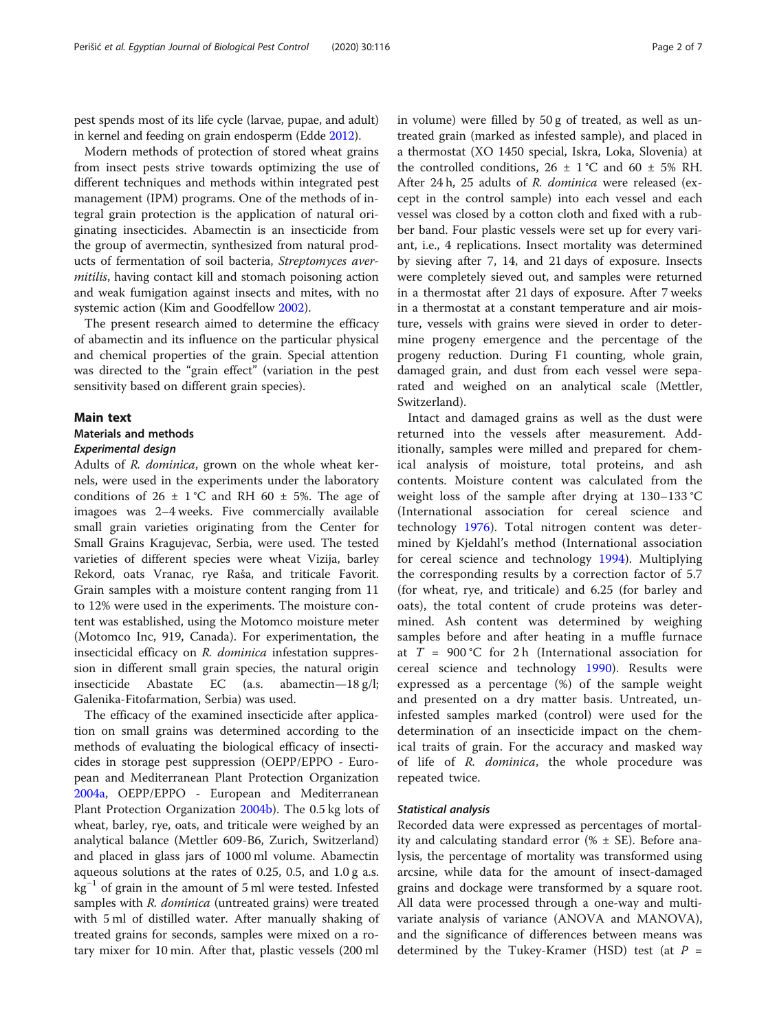pest spends most of its life cycle (larvae, pupae, and adult) in kernel and feeding on grain endosperm (Edde [2012\)](#page-6-0).

Modern methods of protection of stored wheat grains from insect pests strive towards optimizing the use of different techniques and methods within integrated pest management (IPM) programs. One of the methods of integral grain protection is the application of natural originating insecticides. Abamectin is an insecticide from the group of avermectin, synthesized from natural products of fermentation of soil bacteria, Streptomyces avermitilis, having contact kill and stomach poisoning action and weak fumigation against insects and mites, with no systemic action (Kim and Goodfellow [2002](#page-6-0)).

The present research aimed to determine the efficacy of abamectin and its influence on the particular physical and chemical properties of the grain. Special attention was directed to the "grain effect" (variation in the pest sensitivity based on different grain species).

#### Main text

#### Materials and methods

#### Experimental design

Adults of R. dominica, grown on the whole wheat kernels, were used in the experiments under the laboratory conditions of  $26 \pm 1$  °C and RH 60  $\pm$  5%. The age of imagoes was 2–4 weeks. Five commercially available small grain varieties originating from the Center for Small Grains Kragujevac, Serbia, were used. The tested varieties of different species were wheat Vizija, barley Rekord, oats Vranac, rye Raša, and triticale Favorit. Grain samples with a moisture content ranging from 11 to 12% were used in the experiments. The moisture content was established, using the Motomco moisture meter (Motomco Inc, 919, Canada). For experimentation, the insecticidal efficacy on R. dominica infestation suppression in different small grain species, the natural origin insecticide Abastate EC (a.s. abamectin—18 g/l; Galenika-Fitofarmation, Serbia) was used.

The efficacy of the examined insecticide after application on small grains was determined according to the methods of evaluating the biological efficacy of insecticides in storage pest suppression (OEPP/EPPO - European and Mediterranean Plant Protection Organization [2004a,](#page-6-0) OEPP/EPPO - European and Mediterranean Plant Protection Organization [2004b\)](#page-6-0). The 0.5 kg lots of wheat, barley, rye, oats, and triticale were weighed by an analytical balance (Mettler 609-B6, Zurich, Switzerland) and placed in glass jars of 1000 ml volume. Abamectin aqueous solutions at the rates of 0.25, 0.5, and 1.0 g a.s. kg−<sup>1</sup> of grain in the amount of 5 ml were tested. Infested samples with *R. dominica* (untreated grains) were treated with 5 ml of distilled water. After manually shaking of treated grains for seconds, samples were mixed on a rotary mixer for 10 min. After that, plastic vessels (200 ml in volume) were filled by 50 g of treated, as well as untreated grain (marked as infested sample), and placed in a thermostat (XO 1450 special, Iskra, Loka, Slovenia) at the controlled conditions,  $26 \pm 1$  °C and  $60 \pm 5$ % RH. After 24 h, 25 adults of R. dominica were released (except in the control sample) into each vessel and each vessel was closed by a cotton cloth and fixed with a rubber band. Four plastic vessels were set up for every variant, i.e., 4 replications. Insect mortality was determined by sieving after 7, 14, and 21 days of exposure. Insects were completely sieved out, and samples were returned in a thermostat after 21 days of exposure. After 7 weeks in a thermostat at a constant temperature and air moisture, vessels with grains were sieved in order to determine progeny emergence and the percentage of the progeny reduction. During F1 counting, whole grain, damaged grain, and dust from each vessel were separated and weighed on an analytical scale (Mettler, Switzerland).

Intact and damaged grains as well as the dust were returned into the vessels after measurement. Additionally, samples were milled and prepared for chemical analysis of moisture, total proteins, and ash contents. Moisture content was calculated from the weight loss of the sample after drying at 130–133 °C (International association for cereal science and technology [1976\)](#page-6-0). Total nitrogen content was determined by Kjeldahl's method (International association for cereal science and technology [1994](#page-6-0)). Multiplying the corresponding results by a correction factor of 5.7 (for wheat, rye, and triticale) and 6.25 (for barley and oats), the total content of crude proteins was determined. Ash content was determined by weighing samples before and after heating in a muffle furnace at  $T = 900$  °C for 2 h (International association for cereal science and technology [1990](#page-6-0)). Results were expressed as a percentage (%) of the sample weight and presented on a dry matter basis. Untreated, uninfested samples marked (control) were used for the determination of an insecticide impact on the chemical traits of grain. For the accuracy and masked way of life of R. dominica, the whole procedure was repeated twice.

#### Statistical analysis

Recorded data were expressed as percentages of mortality and calculating standard error  $% \pm SE$ ). Before analysis, the percentage of mortality was transformed using arcsine, while data for the amount of insect-damaged grains and dockage were transformed by a square root. All data were processed through a one-way and multivariate analysis of variance (ANOVA and MANOVA), and the significance of differences between means was determined by the Tukey-Kramer (HSD) test (at  $P =$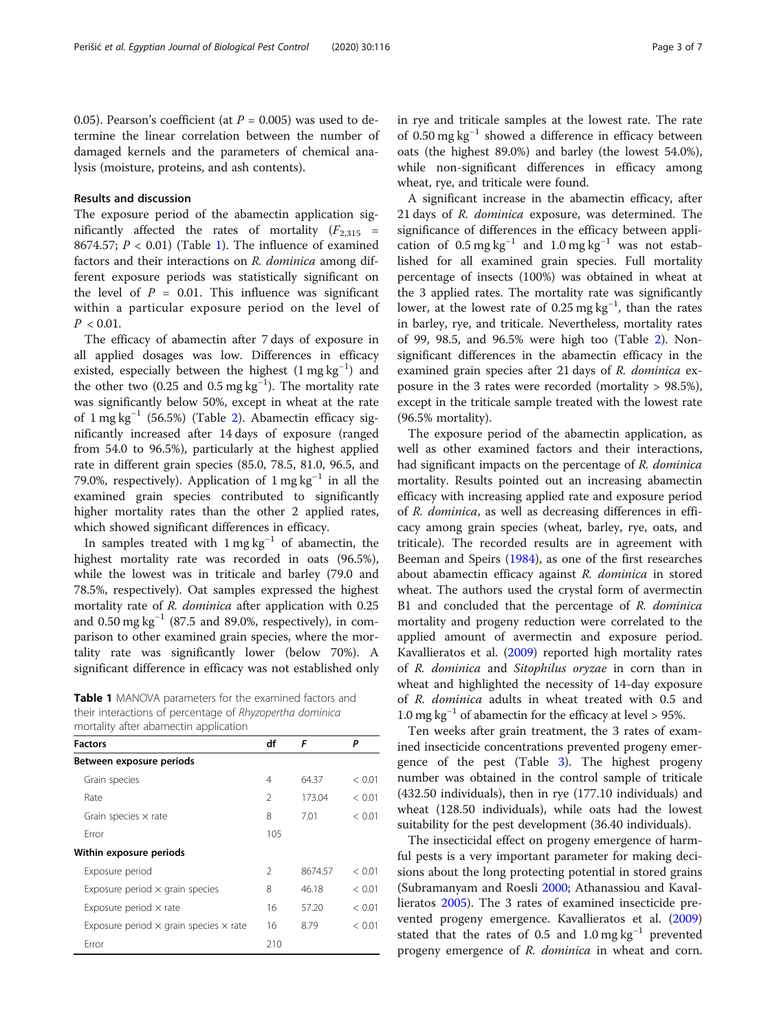0.05). Pearson's coefficient (at  $P = 0.005$ ) was used to determine the linear correlation between the number of damaged kernels and the parameters of chemical analysis (moisture, proteins, and ash contents).

#### Results and discussion

The exposure period of the abamectin application significantly affected the rates of mortality  $(F_{2,315}$  = 8674.57;  $P < 0.01$ ) (Table 1). The influence of examined factors and their interactions on R. dominica among different exposure periods was statistically significant on the level of  $P = 0.01$ . This influence was significant within a particular exposure period on the level of  $P < 0.01$ .

The efficacy of abamectin after 7 days of exposure in all applied dosages was low. Differences in efficacy existed, especially between the highest (1 mg kg<sup>-1</sup>) and the other two (0.25 and 0.5 mg  $\text{kg}^{-1}$ ). The mortality rate was significantly below 50%, except in wheat at the rate of 1 mg kg−<sup>1</sup> (56.5%) (Table [2\)](#page-3-0). Abamectin efficacy significantly increased after 14 days of exposure (ranged from 54.0 to 96.5%), particularly at the highest applied rate in different grain species (85.0, 78.5, 81.0, 96.5, and 79.0%, respectively). Application of 1 mg kg−<sup>1</sup> in all the examined grain species contributed to significantly higher mortality rates than the other 2 applied rates, which showed significant differences in efficacy.

In samples treated with  $1 \text{ mg kg}^{-1}$  of abamectin, the highest mortality rate was recorded in oats (96.5%), while the lowest was in triticale and barley (79.0 and 78.5%, respectively). Oat samples expressed the highest mortality rate of R. dominica after application with 0.25 and  $0.50$  mg kg<sup>-1</sup> (87.5 and 89.0%, respectively), in comparison to other examined grain species, where the mortality rate was significantly lower (below 70%). A significant difference in efficacy was not established only

Table 1 MANOVA parameters for the examined factors and their interactions of percentage of Rhyzopertha dominica mortality after abamectin application

| <b>Factors</b>                                       | df             | F       | Ρ      |
|------------------------------------------------------|----------------|---------|--------|
| Between exposure periods                             |                |         |        |
| Grain species                                        | 4              | 64.37   | < 0.01 |
| Rate                                                 | $\mathfrak{D}$ | 173.04  | < 0.01 |
| Grain species $\times$ rate                          | 8              | 7.01    | < 0.01 |
| Frror                                                | 105            |         |        |
| Within exposure periods                              |                |         |        |
| Exposure period                                      | $\mathfrak{D}$ | 8674.57 | < 0.01 |
| Exposure period $\times$ grain species               | 8              | 46.18   | < 0.01 |
| Exposure period $\times$ rate                        | 16             | 57.20   | < 0.01 |
| Exposure period $\times$ grain species $\times$ rate | 16             | 8.79    | < 0.01 |
| Error                                                | 210            |         |        |

in rye and triticale samples at the lowest rate. The rate of 0.50 mg kg−<sup>1</sup> showed a difference in efficacy between oats (the highest 89.0%) and barley (the lowest 54.0%), while non-significant differences in efficacy among wheat, rye, and triticale were found.

A significant increase in the abamectin efficacy, after 21 days of R. dominica exposure, was determined. The significance of differences in the efficacy between application of  $0.5 \text{ mg kg}^{-1}$  and  $1.0 \text{ mg kg}^{-1}$  was not established for all examined grain species. Full mortality percentage of insects (100%) was obtained in wheat at the 3 applied rates. The mortality rate was significantly lower, at the lowest rate of 0.25 mg kg<sup>-1</sup>, than the rates in barley, rye, and triticale. Nevertheless, mortality rates of 99, 98.5, and 96.5% were high too (Table [2\)](#page-3-0). Nonsignificant differences in the abamectin efficacy in the examined grain species after 21 days of R. dominica exposure in the 3 rates were recorded (mortality > 98.5%), except in the triticale sample treated with the lowest rate (96.5% mortality).

The exposure period of the abamectin application, as well as other examined factors and their interactions, had significant impacts on the percentage of R. dominica mortality. Results pointed out an increasing abamectin efficacy with increasing applied rate and exposure period of R. dominica, as well as decreasing differences in efficacy among grain species (wheat, barley, rye, oats, and triticale). The recorded results are in agreement with Beeman and Speirs ([1984](#page-5-0)), as one of the first researches about abamectin efficacy against R. dominica in stored wheat. The authors used the crystal form of avermectin B1 and concluded that the percentage of R. dominica mortality and progeny reduction were correlated to the applied amount of avermectin and exposure period. Kavallieratos et al. [\(2009\)](#page-6-0) reported high mortality rates of R. dominica and Sitophilus oryzae in corn than in wheat and highlighted the necessity of 14-day exposure of R. dominica adults in wheat treated with 0.5 and 1.0 mg kg<sup>-1</sup> of abamectin for the efficacy at level > 95%.

Ten weeks after grain treatment, the 3 rates of examined insecticide concentrations prevented progeny emergence of the pest (Table [3\)](#page-3-0). The highest progeny number was obtained in the control sample of triticale (432.50 individuals), then in rye (177.10 individuals) and wheat (128.50 individuals), while oats had the lowest suitability for the pest development (36.40 individuals).

The insecticidal effect on progeny emergence of harmful pests is a very important parameter for making decisions about the long protecting potential in stored grains (Subramanyam and Roesli [2000](#page-6-0); Athanassiou and Kavallieratos [2005\)](#page-5-0). The 3 rates of examined insecticide prevented progeny emergence. Kavallieratos et al. ([2009](#page-6-0)) stated that the rates of 0.5 and 1.0 mg  $kg^{-1}$  prevented progeny emergence of R. dominica in wheat and corn.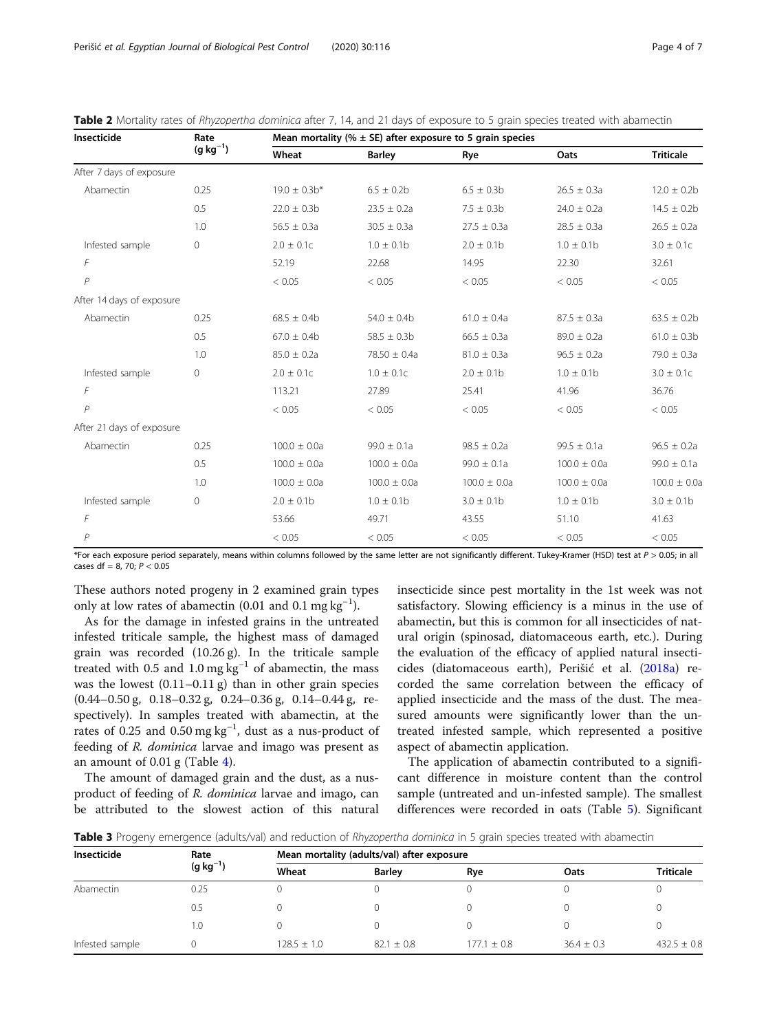<span id="page-3-0"></span>

| Table 2 Mortality rates of Rhyzopertha dominica after 7, 14, and 21 days of exposure to 5 grain species treated with abamectin |  |
|--------------------------------------------------------------------------------------------------------------------------------|--|
|--------------------------------------------------------------------------------------------------------------------------------|--|

| Insecticide               | Rate<br>$(g kg^{-1})$ | Mean mortality ( $% \pm$ SE) after exposure to 5 grain species |                  |                  |                  |                  |
|---------------------------|-----------------------|----------------------------------------------------------------|------------------|------------------|------------------|------------------|
|                           |                       | Wheat                                                          | <b>Barley</b>    | Rye              | Oats             | <b>Triticale</b> |
| After 7 days of exposure  |                       |                                                                |                  |                  |                  |                  |
| Abamectin                 | 0.25                  | $19.0 \pm 0.3$ b*                                              | $6.5 \pm 0.2b$   | $6.5 \pm 0.3$ b  | $26.5 \pm 0.3a$  | $12.0 \pm 0.2b$  |
|                           | 0.5                   | $22.0 \pm 0.3b$                                                | $23.5 \pm 0.2a$  | $7.5 \pm 0.3b$   | $24.0 \pm 0.2a$  | $14.5 \pm 0.2b$  |
|                           | 1.0                   | $56.5 \pm 0.3a$                                                | $30.5 \pm 0.3a$  | $27.5 \pm 0.3a$  | $28.5 \pm 0.3a$  | $26.5 \pm 0.2a$  |
| Infested sample           | $\circ$               | $2.0 \pm 0.1c$                                                 | $1.0 \pm 0.1$ b  | $2.0 \pm 0.1$ b  | $1.0 \pm 0.1$ b  | $3.0 \pm 0.1c$   |
| F                         |                       | 52.19                                                          | 22.68            | 14.95            | 22.30            | 32.61            |
| $\mathsf{P}$              |                       | < 0.05                                                         | < 0.05           | < 0.05           | < 0.05           | < 0.05           |
| After 14 days of exposure |                       |                                                                |                  |                  |                  |                  |
| Abamectin                 | 0.25                  | $68.5 \pm 0.4$ b                                               | $54.0 \pm 0.4$   | $61.0 \pm 0.4a$  | $87.5 \pm 0.3a$  | $63.5 \pm 0.2b$  |
|                           | 0.5                   | $67.0 \pm 0.4$ b                                               | $58.5 \pm 0.3$ b | $66.5 \pm 0.3a$  | $89.0 \pm 0.2a$  | $61.0 \pm 0.3b$  |
|                           | 1.0                   | $85.0 \pm 0.2a$                                                | $78.50 \pm 0.4a$ | $81.0 \pm 0.3a$  | $96.5 \pm 0.2a$  | $79.0 \pm 0.3a$  |
| Infested sample           | $\circ$               | $2.0 \pm 0.1c$                                                 | $1.0 \pm 0.1c$   | $2.0 \pm 0.1$ b  | $1.0 \pm 0.1$ b  | $3.0 \pm 0.1c$   |
| F                         |                       | 113.21                                                         | 27.89            | 25.41            | 41.96            | 36.76            |
| P                         |                       | < 0.05                                                         | < 0.05           | < 0.05           | < 0.05           | < 0.05           |
| After 21 days of exposure |                       |                                                                |                  |                  |                  |                  |
| Abamectin                 | 0.25                  | $100.0 \pm 0.0a$                                               | $99.0 \pm 0.1a$  | $98.5 \pm 0.2a$  | $99.5 \pm 0.1a$  | $96.5 \pm 0.2a$  |
|                           | 0.5                   | $100.0 \pm 0.0a$                                               | $100.0 \pm 0.0a$ | $99.0 \pm 0.1a$  | $100.0 \pm 0.0a$ | $99.0 \pm 0.1a$  |
|                           | 1.0                   | $100.0 \pm 0.0a$                                               | $100.0 \pm 0.0a$ | $100.0 \pm 0.0a$ | $100.0 \pm 0.0a$ | $100.0 \pm 0.0a$ |
| Infested sample           | $\circ$               | $2.0 \pm 0.1$ b                                                | $1.0 \pm 0.1$ b  | $3.0 \pm 0.1$ b  | $1.0 \pm 0.1$ b  | $3.0 \pm 0.1$ b  |
| F                         |                       | 53.66                                                          | 49.71            | 43.55            | 51.10            | 41.63            |
| $\mathcal P$              |                       | < 0.05                                                         | < 0.05           | < 0.05           | < 0.05           | < 0.05           |

\*For each exposure period separately, means within columns followed by the same letter are not significantly different. Tukey-Kramer (HSD) test at P > 0.05; in all cases df = 8, 70;  $P < 0.05$ 

These authors noted progeny in 2 examined grain types only at low rates of abamectin (0.01 and 0.1 mg  $kg^{-1}$ ).

As for the damage in infested grains in the untreated infested triticale sample, the highest mass of damaged grain was recorded (10.26 g). In the triticale sample treated with 0.5 and 1.0 mg  $kg^{-1}$  of abamectin, the mass was the lowest  $(0.11-0.11 \text{ g})$  than in other grain species (0.44–0.50 g, 0.18–0.32 g, 0.24–0.36 g, 0.14–0.44 g, respectively). In samples treated with abamectin, at the rates of 0.25 and 0.50 mg kg<sup>-1</sup>, dust as a nus-product of feeding of R. dominica larvae and imago was present as an amount of 0.01 g (Table [4](#page-4-0)).

The amount of damaged grain and the dust, as a nusproduct of feeding of R. dominica larvae and imago, can be attributed to the slowest action of this natural insecticide since pest mortality in the 1st week was not satisfactory. Slowing efficiency is a minus in the use of abamectin, but this is common for all insecticides of natural origin (spinosad, diatomaceous earth, etc.). During the evaluation of the efficacy of applied natural insecticides (diatomaceous earth), Perišić et al. ([2018a\)](#page-6-0) recorded the same correlation between the efficacy of applied insecticide and the mass of the dust. The measured amounts were significantly lower than the untreated infested sample, which represented a positive aspect of abamectin application.

The application of abamectin contributed to a significant difference in moisture content than the control sample (untreated and un-infested sample). The smallest differences were recorded in oats (Table [5\)](#page-4-0). Significant

Table 3 Progeny emergence (adults/val) and reduction of Rhyzopertha dominica in 5 grain species treated with abamectin

| Insecticide     | Rate<br>$(g kg^{-1})$ | Mean mortality (adults/val) after exposure |               |               |                |                  |  |
|-----------------|-----------------------|--------------------------------------------|---------------|---------------|----------------|------------------|--|
|                 |                       | Wheat                                      | <b>Barley</b> | Rye           | Oats           | <b>Triticale</b> |  |
| Abamectin       | 0.25                  |                                            |               |               |                |                  |  |
|                 | 0.5                   |                                            |               |               |                |                  |  |
|                 | 1.0                   |                                            |               |               |                |                  |  |
| Infested sample |                       | $128.5 + 1.0$                              | $82.1 + 0.8$  | $177.1 + 0.8$ | $36.4 \pm 0.3$ | $432.5 \pm 0.8$  |  |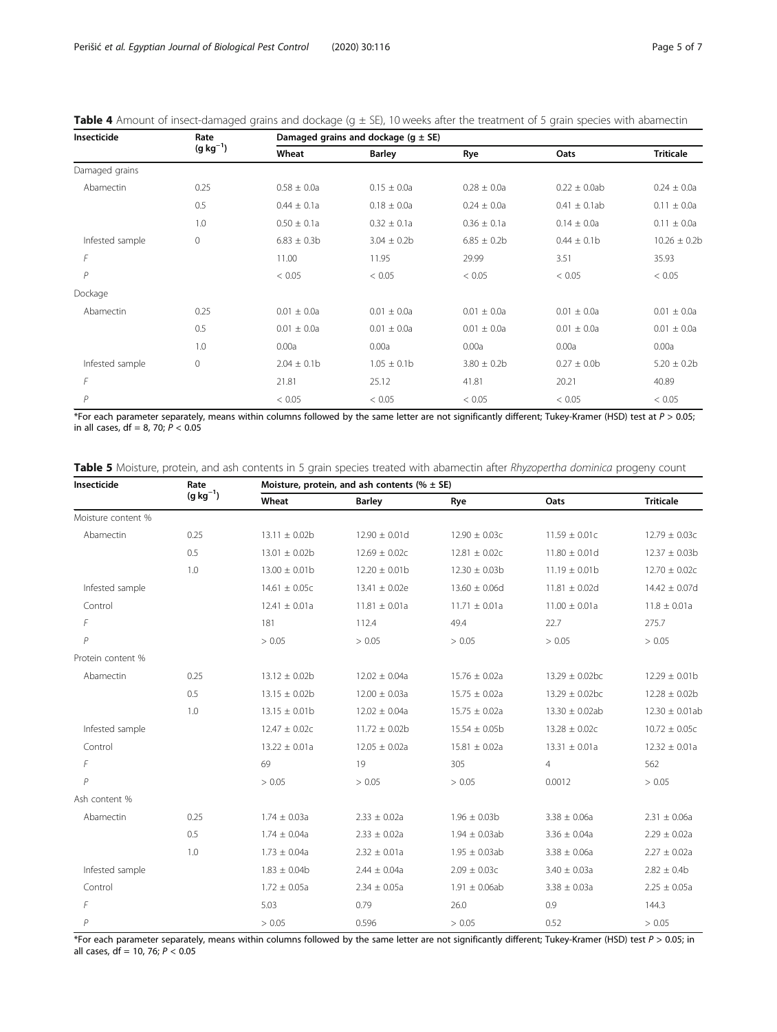<span id="page-4-0"></span>

| Table 4 Amount of insect-damaged grains and dockage $(g \pm SE)$ , 10 weeks after the treatment of 5 grain species with abamectin |  |
|-----------------------------------------------------------------------------------------------------------------------------------|--|
|-----------------------------------------------------------------------------------------------------------------------------------|--|

| Insecticide     | Rate<br>$(g kg^{-1})$ | Damaged grains and dockage ( $q \pm SE$ ) |                  |                  |                   |                  |
|-----------------|-----------------------|-------------------------------------------|------------------|------------------|-------------------|------------------|
|                 |                       | Wheat                                     | <b>Barley</b>    | Rye              | Oats              | <b>Triticale</b> |
| Damaged grains  |                       |                                           |                  |                  |                   |                  |
| Abamectin       | 0.25                  | $0.58 \pm 0.0a$                           | $0.15 \pm 0.0a$  | $0.28 \pm 0.0a$  | $0.22 \pm 0.0$ ab | $0.24 \pm 0.0a$  |
|                 | 0.5                   | $0.44 \pm 0.1a$                           | $0.18 \pm 0.0a$  | $0.24 \pm 0.0a$  | $0.41 \pm 0.1$ ab | $0.11 \pm 0.0a$  |
|                 | 1.0                   | $0.50 \pm 0.1a$                           | $0.32 \pm 0.1a$  | $0.36 \pm 0.1a$  | $0.14 \pm 0.0a$   | $0.11 \pm 0.0a$  |
| Infested sample | $\mathbf{0}$          | $6.83 \pm 0.3b$                           | $3.04 \pm 0.2b$  | $6.85 \pm 0.2b$  | $0.44 \pm 0.1$ b  | $10.26 \pm 0.2b$ |
| F               |                       | 11.00                                     | 11.95            | 29.99            | 3.51              | 35.93            |
| P               |                       | < 0.05                                    | < 0.05           | < 0.05           | < 0.05            | < 0.05           |
| Dockage         |                       |                                           |                  |                  |                   |                  |
| Abamectin       | 0.25                  | $0.01 \pm 0.0a$                           | $0.01 \pm 0.0a$  | $0.01 \pm 0.0a$  | $0.01 \pm 0.0a$   | $0.01 \pm 0.0a$  |
|                 | 0.5                   | $0.01 \pm 0.0a$                           | $0.01 \pm 0.0a$  | $0.01 \pm 0.0a$  | $0.01 \pm 0.0a$   | $0.01 \pm 0.0a$  |
|                 | 1.0                   | 0.00a                                     | 0.00a            | 0.00a            | 0.00a             | 0.00a            |
| Infested sample | $\circ$               | $2.04 \pm 0.1$ b                          | $1.05 \pm 0.1$ b | $3.80 \pm 0.2$ b | $0.27 \pm 0.0$ b  | $5.20 \pm 0.2b$  |
| F               |                       | 21.81                                     | 25.12            | 41.81            | 20.21             | 40.89            |
| P               |                       | < 0.05                                    | < 0.05           | < 0.05           | < 0.05            | < 0.05           |

\*For each parameter separately, means within columns followed by the same letter are not significantly different; Tukey-Kramer (HSD) test at  $P > 0.05$ ; in all cases,  $df = 8$ , 70;  $P < 0.05$ 

| Table 5 Moisture, protein, and ash contents in 5 grain species treated with abamectin after Rhyzopertha dominica progeny count |  |
|--------------------------------------------------------------------------------------------------------------------------------|--|

| Insecticide        | Rate<br>$(g kg^{-1})$ | Moisture, protein, and ash contents (% $\pm$ SE) |                    |                    |                     |                     |  |
|--------------------|-----------------------|--------------------------------------------------|--------------------|--------------------|---------------------|---------------------|--|
|                    |                       | Wheat                                            | <b>Barley</b>      | Rye                | Oats                | <b>Triticale</b>    |  |
| Moisture content % |                       |                                                  |                    |                    |                     |                     |  |
| Abamectin          | 0.25                  | $13.11 \pm 0.02b$                                | $12.90 \pm 0.01d$  | $12.90 \pm 0.03c$  | $11.59 \pm 0.01c$   | $12.79 \pm 0.03c$   |  |
|                    | 0.5                   | $13.01 \pm 0.02b$                                | $12.69 \pm 0.02c$  | $12.81 \pm 0.02c$  | $11.80 \pm 0.01$ d  | $12.37 \pm 0.03b$   |  |
|                    | 1.0                   | $13.00 \pm 0.01$ b                               | $12.20 \pm 0.01$ b | $12.30 \pm 0.03b$  | $11.19 \pm 0.01b$   | $12.70 \pm 0.02c$   |  |
| Infested sample    |                       | $14.61 \pm 0.05c$                                | $13.41 \pm 0.02e$  | $13.60 \pm 0.06d$  | $11.81 \pm 0.02$ d  | $14.42 \pm 0.07$ d  |  |
| Control            |                       | $12.41 \pm 0.01a$                                | $11.81 \pm 0.01a$  | $11.71 \pm 0.01a$  | $11.00 \pm 0.01a$   | $11.8 \pm 0.01a$    |  |
| F                  |                       | 181                                              | 112.4              | 49.4               | 22.7                | 275.7               |  |
| $\overline{P}$     |                       | > 0.05                                           | > 0.05             | > 0.05             | > 0.05              | > 0.05              |  |
| Protein content %  |                       |                                                  |                    |                    |                     |                     |  |
| Abamectin          | 0.25                  | $13.12 \pm 0.02b$                                | $12.02 \pm 0.04a$  | $15.76 \pm 0.02a$  | $13.29 \pm 0.02$ bc | $12.29 \pm 0.01$ b  |  |
|                    | 0.5                   | $13.15 \pm 0.02b$                                | $12.00 \pm 0.03a$  | $15.75 \pm 0.02a$  | $13.29 \pm 0.02$ bc | $12.28 \pm 0.02b$   |  |
|                    | 1.0                   | $13.15 \pm 0.01b$                                | $12.02 \pm 0.04a$  | $15.75 \pm 0.02a$  | $13.30 \pm 0.02ab$  | $12.30 \pm 0.01$ ab |  |
| Infested sample    |                       | $12.47 \pm 0.02c$                                | $11.72 \pm 0.02b$  | $15.54 \pm 0.05b$  | $13.28 \pm 0.02c$   | $10.72 \pm 0.05c$   |  |
| Control            |                       | $13.22 \pm 0.01a$                                | $12.05 \pm 0.02a$  | $15.81 \pm 0.02a$  | $13.31 \pm 0.01a$   | $12.32 \pm 0.01a$   |  |
| F                  |                       | 69                                               | 19                 | 305                | $\overline{4}$      | 562                 |  |
| $\overline{P}$     |                       | > 0.05                                           | > 0.05             | > 0.05             | 0.0012              | > 0.05              |  |
| Ash content %      |                       |                                                  |                    |                    |                     |                     |  |
| Abamectin          | 0.25                  | $1.74 \pm 0.03a$                                 | $2.33 \pm 0.02a$   | $1.96 \pm 0.03b$   | $3.38 \pm 0.06a$    | $2.31 \pm 0.06a$    |  |
|                    | 0.5                   | $1.74 \pm 0.04a$                                 | $2.33 \pm 0.02a$   | $1.94 \pm 0.03$ ab | $3.36 \pm 0.04a$    | $2.29 \pm 0.02a$    |  |
|                    | 1.0                   | $1.73 \pm 0.04a$                                 | $2.32 \pm 0.01a$   | $1.95 \pm 0.03$ ab | $3.38 \pm 0.06a$    | $2.27 \pm 0.02a$    |  |
| Infested sample    |                       | $1.83 \pm 0.04b$                                 | $2.44 \pm 0.04a$   | $2.09 \pm 0.03c$   | $3.40 \pm 0.03a$    | $2.82 \pm 0.4b$     |  |
| Control            |                       | $1.72 \pm 0.05a$                                 | $2.34 \pm 0.05a$   | $1.91 \pm 0.06$ ab | $3.38 \pm 0.03a$    | $2.25 \pm 0.05a$    |  |
| F                  |                       | 5.03                                             | 0.79               | 26.0               | 0.9                 | 144.3               |  |
| $\overline{P}$     |                       | > 0.05                                           | 0.596              | > 0.05             | 0.52                | > 0.05              |  |

\*For each parameter separately, means within columns followed by the same letter are not significantly different; Tukey-Kramer (HSD) test  $P > 0.05$ ; in all cases, df = 10, 76; P < 0.05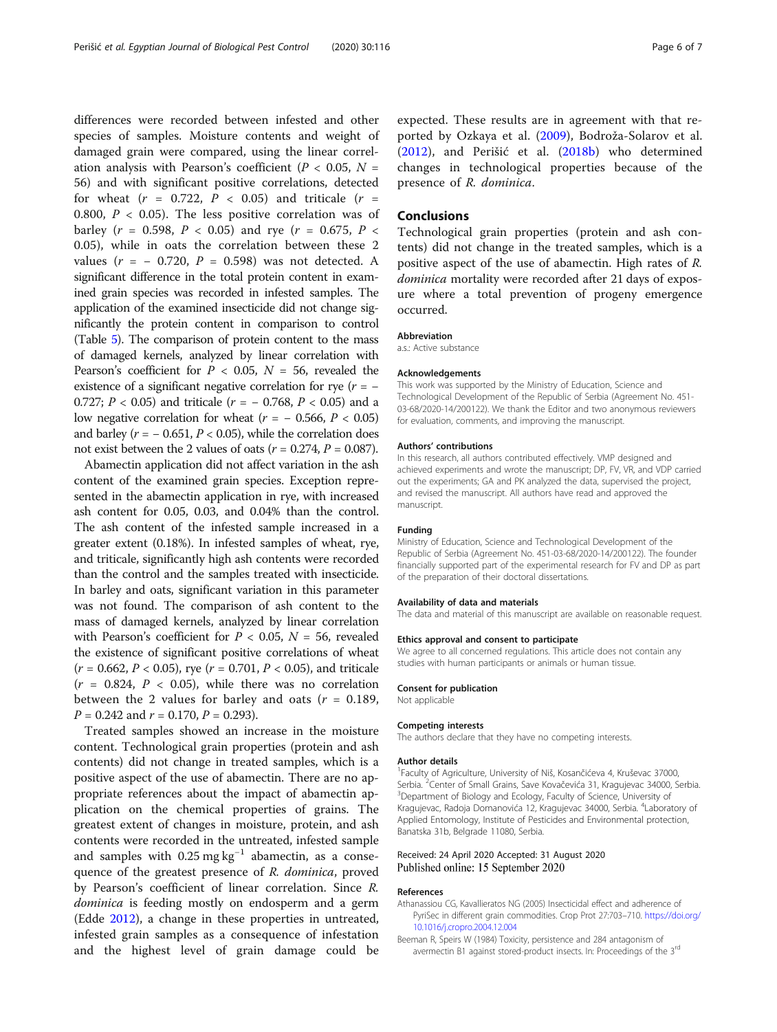<span id="page-5-0"></span>differences were recorded between infested and other species of samples. Moisture contents and weight of damaged grain were compared, using the linear correlation analysis with Pearson's coefficient ( $P < 0.05$ ,  $N =$ 56) and with significant positive correlations, detected for wheat  $(r = 0.722, P < 0.05)$  and triticale  $(r =$ 0.800,  $P < 0.05$ ). The less positive correlation was of barley ( $r = 0.598$ ,  $P < 0.05$ ) and rye ( $r = 0.675$ ,  $P <$ 0.05), while in oats the correlation between these 2 values ( $r = -0.720$ ,  $P = 0.598$ ) was not detected. A significant difference in the total protein content in examined grain species was recorded in infested samples. The application of the examined insecticide did not change significantly the protein content in comparison to control (Table [5](#page-4-0)). The comparison of protein content to the mass of damaged kernels, analyzed by linear correlation with Pearson's coefficient for  $P < 0.05$ ,  $N = 56$ , revealed the existence of a significant negative correlation for rye ( $r = -$ 0.727;  $P < 0.05$ ) and triticale ( $r = -0.768$ ,  $P < 0.05$ ) and a low negative correlation for wheat  $(r = -0.566, P < 0.05)$ and barley ( $r = -0.651$ ,  $P < 0.05$ ), while the correlation does not exist between the 2 values of oats ( $r = 0.274$ ,  $P = 0.087$ ).

Abamectin application did not affect variation in the ash content of the examined grain species. Exception represented in the abamectin application in rye, with increased ash content for 0.05, 0.03, and 0.04% than the control. The ash content of the infested sample increased in a greater extent (0.18%). In infested samples of wheat, rye, and triticale, significantly high ash contents were recorded than the control and the samples treated with insecticide. In barley and oats, significant variation in this parameter was not found. The comparison of ash content to the mass of damaged kernels, analyzed by linear correlation with Pearson's coefficient for  $P < 0.05$ ,  $N = 56$ , revealed the existence of significant positive correlations of wheat  $(r = 0.662, P < 0.05)$ , rye  $(r = 0.701, P < 0.05)$ , and triticale  $(r = 0.824, P < 0.05)$ , while there was no correlation between the 2 values for barley and oats ( $r = 0.189$ ,  $P = 0.242$  and  $r = 0.170$ ,  $P = 0.293$ ).

Treated samples showed an increase in the moisture content. Technological grain properties (protein and ash contents) did not change in treated samples, which is a positive aspect of the use of abamectin. There are no appropriate references about the impact of abamectin application on the chemical properties of grains. The greatest extent of changes in moisture, protein, and ash contents were recorded in the untreated, infested sample and samples with  $0.25 \text{ mg kg}^{-1}$  abamectin, as a consequence of the greatest presence of R. dominica, proved by Pearson's coefficient of linear correlation. Since R. dominica is feeding mostly on endosperm and a germ (Edde [2012\)](#page-6-0), a change in these properties in untreated, infested grain samples as a consequence of infestation and the highest level of grain damage could be expected. These results are in agreement with that reported by Ozkaya et al. [\(2009](#page-6-0)), Bodroža-Solarov et al. ([2012\)](#page-6-0), and Perišić et al. [\(2018b](#page-6-0)) who determined changes in technological properties because of the presence of R. dominica.

#### Conclusions

Technological grain properties (protein and ash contents) did not change in the treated samples, which is a positive aspect of the use of abamectin. High rates of R. dominica mortality were recorded after 21 days of exposure where a total prevention of progeny emergence occurred.

#### Abbreviation

a.s.: Active substance

#### Acknowledgements

This work was supported by the Ministry of Education, Science and Technological Development of the Republic of Serbia (Agreement No. 451- 03-68/2020-14/200122). We thank the Editor and two anonymous reviewers for evaluation, comments, and improving the manuscript.

#### Authors' contributions

In this research, all authors contributed effectively. VMP designed and achieved experiments and wrote the manuscript; DP, FV, VR, and VDP carried out the experiments; GA and PK analyzed the data, supervised the project, and revised the manuscript. All authors have read and approved the manuscript.

#### Funding

Ministry of Education, Science and Technological Development of the Republic of Serbia (Agreement No. 451-03-68/2020-14/200122). The founder financially supported part of the experimental research for FV and DP as part of the preparation of their doctoral dissertations.

#### Availability of data and materials

The data and material of this manuscript are available on reasonable request.

#### Ethics approval and consent to participate

We agree to all concerned regulations. This article does not contain any studies with human participants or animals or human tissue.

#### Consent for publication

Not applicable

#### Competing interests

The authors declare that they have no competing interests.

#### Author details

<sup>1</sup> Faculty of Agriculture, University of Niš, Kosančićeva 4, Kruševac 37000, Serbia. <sup>2</sup> Center of Small Grains, Save Kovačevića 31, Kragujevac 34000, Serbia.<br><sup>3</sup> Department of Biology and Ecology, Faculty of Science, University of Department of Biology and Ecology, Faculty of Science, University of Kragujevac, Radoja Domanovića 12, Kragujevac 34000, Serbia. <sup>4</sup> Laboratory of Applied Entomology, Institute of Pesticides and Environmental protection, Banatska 31b, Belgrade 11080, Serbia.

#### Received: 24 April 2020 Accepted: 31 August 2020 Published online: 15 September 2020

#### References

- Athanassiou CG, Kavallieratos NG (2005) Insecticidal effect and adherence of PyriSec in different grain commodities. Crop Prot 27:703–710. [https://doi.org/](https://doi.org/10.1016/j.cropro.2004.12.004) [10.1016/j.cropro.2004.12.004](https://doi.org/10.1016/j.cropro.2004.12.004)
- Beeman R, Speirs W (1984) Toxicity, persistence and 284 antagonism of avermectin B1 against stored-product insects. In: Proceedings of the 3<sup>rd</sup>